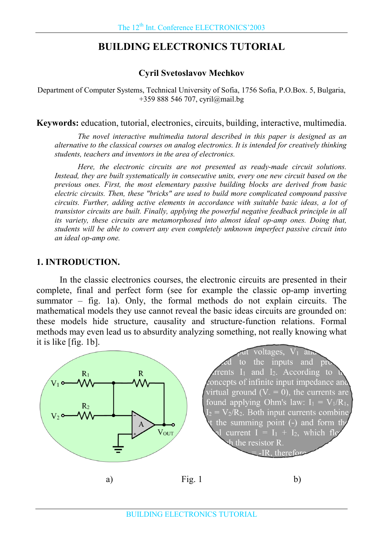# **BUILDING ELECTRONICS TUTORIAL**

### **Cyril Svetoslavov Mechkov**

Department of Computer Systems, Technical University of Sofia, 1756 Sofia, P.O.Box. 5, Bulgaria, +359 888 546 707, cyril@mail.bg

**Keywords:** education, tutorial, electronics, circuits, building, interactive, multimedia.

The novel interactive multimedia tutoral described in this paper is designed as an alternative to the classical courses on analog electronics. It is intended for creatively thinking students, teachers and inventors in the area of electronics.

Here, the electronic circuits are not presented as ready-made circuit solutions. Instead, they are built systematically in consecutive units, every one new circuit based on the previous ones. First, the most elementary passive building blocks are derived from basic electric circuits. Then, these "bricks" are used to build more complicated compound passive circuits. Further, adding active elements in accordance with suitable basic ideas, a lot of transistor circuits are built. Finally, applying the powerful negative feedback principle in all its variety, these circuits are metamorphosed into almost ideal op-amp ones. Doing that, students will be able to convert any even completely unknown imperfect passive circuit into an ideal op-amp one.

#### **1. INTRODUCTION.**

In the classic electronics courses, the electronic circuits are presented in their complete, final and perfect form (see for example the classic op-amp inverting summator - fig. 1a). Only, the formal methods do not explain circuits. The mathematical models they use cannot reveal the basic ideas circuits are grounded on: these models hide structure, causality and structure-function relations. Formal methods may even lead us to absurdity analyzing something, not really knowing what it is like [fig. 1b].

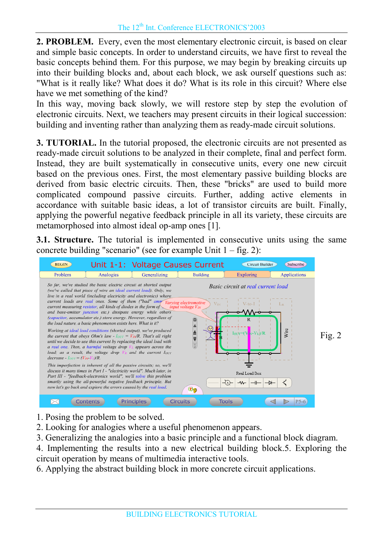**2. PROBLEM.** Every, even the most elementary electronic circuit, is based on clear and simple basic concepts. In order to understand circuits, we have first to reveal the basic concepts behind them. For this purpose, we may begin by breaking circuits up into their building blocks and, about each block, we ask ourself questions such as: "What is it really like? What does it do? What is its role in this circuit? Where else have we met something of the kind?

In this way, moving back slowly, we will restore step by step the evolution of electronic circuits. Next, we teachers may present circuits in their logical succession: building and inventing rather than analyzing them as ready-made circuit solutions.

**3. TUTORIAL.** In the tutorial proposed, the electronic circuits are not presented as ready-made circuit solutions to be analyzed in their complete, final and perfect form. Instead, they are built systematically in consecutive units, every one new circuit based on the previous ones. First, the most elementary passive building blocks are derived from basic electric circuits. Then, these "bricks" are used to build more complicated compound passive circuits. Further, adding active elements in accordance with suitable basic ideas, a lot of transistor circuits are built. Finally, applying the powerful negative feedback principle in all its variety, these circuits are metamorphosed into almost ideal op-amp ones [1].

**3.1. Structure.** The tutorial is implemented in consecutive units using the same concrete building "scenario" (see for example Unit  $1 - fig. 2$ ):



- 1. Posing the problem to be solved.
- 2. Looking for analogies where a useful phenomenon appears.
- 3. Generalizing the analogies into a basic principle and a functional block diagram.
- 4. Implementing the results into a new electrical building block.5. Exploring the circuit operation by means of multimedia interactive tools.
- 6. Applying the abstract building block in more concrete circuit applications.